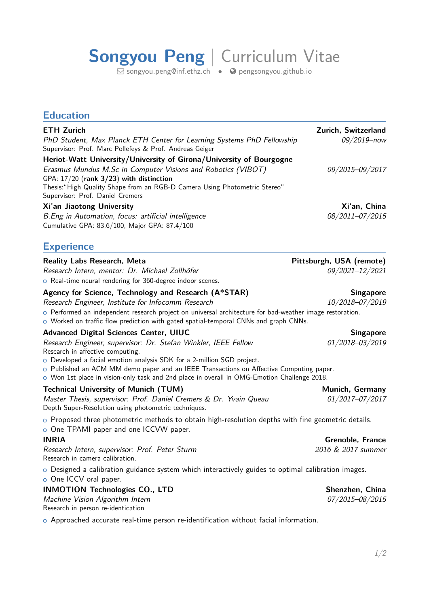## **Songyou Peng** | Curriculum Vitae

 $\boxdot$  [songyou.peng@inf.ethz.ch](mailto:songyou.peng@inf.ethz.ch)  $\quad \bullet \quad \bullet$  [pengsongyou.github.io](http://pengsongyou.github.io)

| <b>Education</b>                                                                                                                                                                                                                                                                                                                                                                                                        |                                             |
|-------------------------------------------------------------------------------------------------------------------------------------------------------------------------------------------------------------------------------------------------------------------------------------------------------------------------------------------------------------------------------------------------------------------------|---------------------------------------------|
| <b>ETH Zurich</b><br>PhD Student, Max Planck ETH Center for Learning Systems PhD Fellowship<br>Supervisor: Prof. Marc Pollefeys & Prof. Andreas Geiger                                                                                                                                                                                                                                                                  | Zurich, Switzerland<br>$09/2019 - now$      |
| Heriot-Watt University/University of Girona/University of Bourgogne<br>Erasmus Mundus M.Sc in Computer Visions and Robotics (VIBOT)<br>GPA: 17/20 (rank 3/23) with distinction<br>Thesis: "High Quality Shape from an RGB-D Camera Using Photometric Stereo"<br>Supervisor: Prof. Daniel Cremers                                                                                                                        | 09/2015-09/2017                             |
| Xi'an Jiaotong University<br>B.Eng in Automation, focus: artificial intelligence<br>Cumulative GPA: 83.6/100, Major GPA: 87.4/100                                                                                                                                                                                                                                                                                       | Xi'an, China<br>08/2011-07/2015             |
| <b>Experience</b>                                                                                                                                                                                                                                                                                                                                                                                                       |                                             |
| <b>Reality Labs Research, Meta</b><br>Research Intern, mentor: Dr. Michael Zollhöfer<br>o Real-time neural rendering for 360-degree indoor scenes.                                                                                                                                                                                                                                                                      | Pittsburgh, USA (remote)<br>09/2021-12/2021 |
| Agency for Science, Technology and Research (A*STAR)<br>Research Engineer, Institute for Infocomm Research<br>o Performed an independent research project on universal architecture for bad-weather image restoration.<br>o Worked on traffic flow prediction with gated spatial-temporal CNNs and graph CNNs.                                                                                                          | <b>Singapore</b><br>10/2018-07/2019         |
| <b>Advanced Digital Sciences Center, UIUC</b><br>Research Engineer, supervisor: Dr. Stefan Winkler, IEEE Fellow<br>Research in affective computing.<br>o Developed a facial emotion analysis SDK for a 2-million SGD project.<br>o Published an ACM MM demo paper and an IEEE Transactions on Affective Computing paper.<br>o Won 1st place in vision-only task and 2nd place in overall in OMG-Emotion Challenge 2018. | <b>Singapore</b><br>01/2018-03/2019         |
| <b>Technical University of Munich (TUM)</b><br>Master Thesis, supervisor: Prof. Daniel Cremers & Dr. Yvain Queau<br>Depth Super-Resolution using photometric techniques.                                                                                                                                                                                                                                                | Munich, Germany<br>01/2017-07/2017          |
| $\circ$ Proposed three photometric methods to obtain high-resolution depths with fine geometric details.<br>o One TPAMI paper and one ICCVW paper.                                                                                                                                                                                                                                                                      |                                             |
| <b>INRIA</b>                                                                                                                                                                                                                                                                                                                                                                                                            | <b>Grenoble, France</b>                     |
| Research Intern, supervisor: Prof. Peter Sturm<br>Research in camera calibration.                                                                                                                                                                                                                                                                                                                                       | 2016 & 2017 summer                          |
| $\circ$ Designed a calibration guidance system which interactively guides to optimal calibration images.<br>o One ICCV oral paper.                                                                                                                                                                                                                                                                                      |                                             |
| <b>INMOTION Technologies CO., LTD</b>                                                                                                                                                                                                                                                                                                                                                                                   | Shenzhen, China                             |
| Machine Vision Algorithm Intern<br>Research in person re-identication                                                                                                                                                                                                                                                                                                                                                   | 07/2015-08/2015                             |
| o Approached accurate real-time person re-identification without facial information.                                                                                                                                                                                                                                                                                                                                    |                                             |